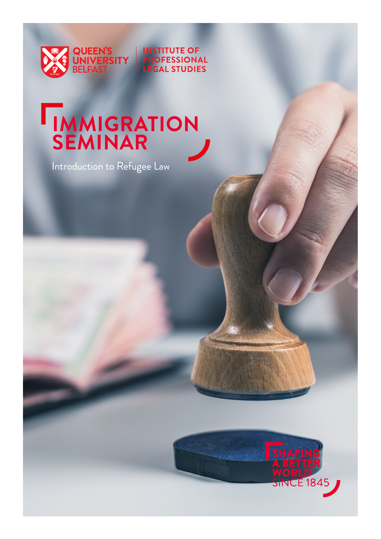

**INSTITUTE OF** ROFESSIONAL **EGAL STUDIES** 

## **IMMIGRATION SEMINAR**

Introduction to Refugee Law